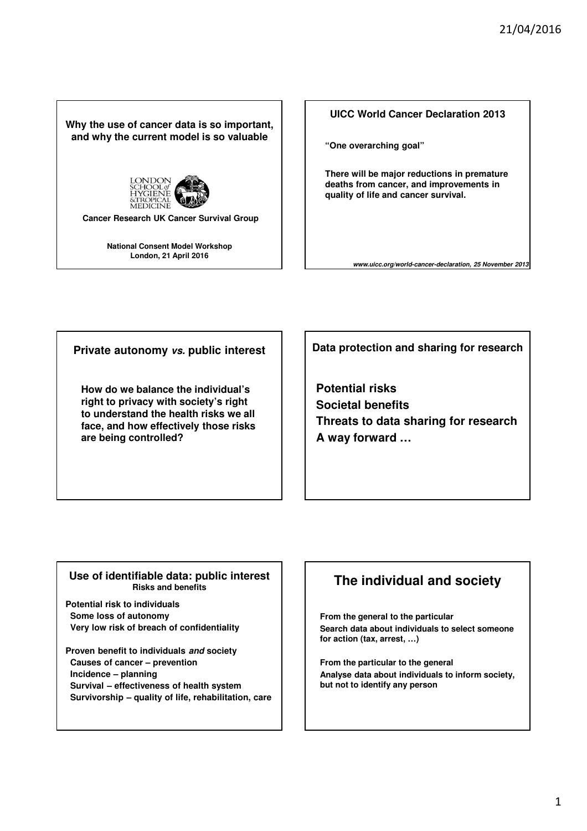**Why the use of cancer data is so important, and why the current model is so valuable**



**Cancer Research UK Cancer Survival Group**

**National Consent Model Workshop London, 21 April 2016**



**"One overarching goal"**

**There will be major reductions in premature deaths from cancer, and improvements in quality of life and cancer survival.**

*www.uicc.org/world-cancer-declaration, 25 November 2013*

**Private autonomy** *vs.* **public interest**

**How do we balance the individual's right to privacy with society's right to understand the health risks we all face, and how effectively those risks are being controlled?**

**Data protection and sharing for research**

**Potential risks Societal benefits Threats to data sharing for research A way forward …**

### **Use of identifiable data: public interest Risks and benefits**

**Potential risk to individuals Some loss of autonomy Very low risk of breach of confidentiality**

**Proven benefit to individuals** *and* **society Causes of cancer – prevention Incidence – planning Survival – effectiveness of health system Survivorship – quality of life, rehabilitation, care**

# **The individual and society**

**From the general to the particular Search data about individuals to select someone for action (tax, arrest, …)**

**From the particular to the general Analyse data about individuals to inform society, but not to identify any person**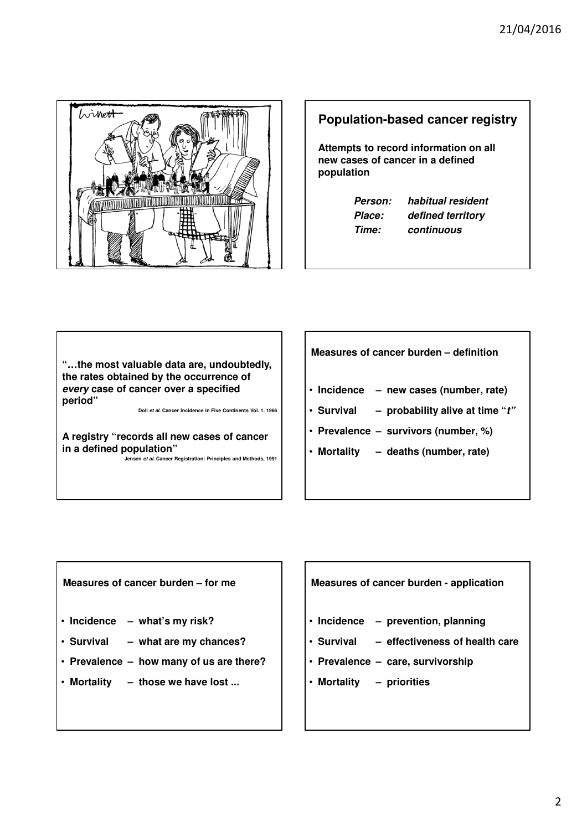

## **Population-based cancer registry**

**Attempts to record information on all new cases of cancer in a defined population**

| <b>Person:</b> | ha |
|----------------|----|
| Place:         | dε |
| Time:          | cс |

*Person: habitual resident Place: defined territory Time: continuous*

**"…the most valuable data are, undoubtedly, the rates obtained by the occurrence of**  *every* **case of cancer over a specified period"**

**Doll** *et al***. Cancer Incidence in Five Continents Vol. 1. 1966**

**A registry "records all new cases of cancer in a defined population"**

**Jensen** *et al.* **Cancer Registration: Principles and Methods, 1991** 

**Measures of cancer burden – definition**

- **Incidence new cases (number, rate)**
- **Survival probability alive at time "***t"*
- **Prevalence survivors (number, %)**
- **Mortality deaths (number, rate)**

**Measures of cancer burden – for me**

- **Incidence what's my risk?**
- **Survival what are my chances?**
- **Prevalence how many of us are there?**
- **Mortality those we have lost ...**

**Measures of cancer burden - application**

- **Incidence prevention, planning**
- **Survival effectiveness of health care**
- **Prevalence care, survivorship**
- **Mortality priorities**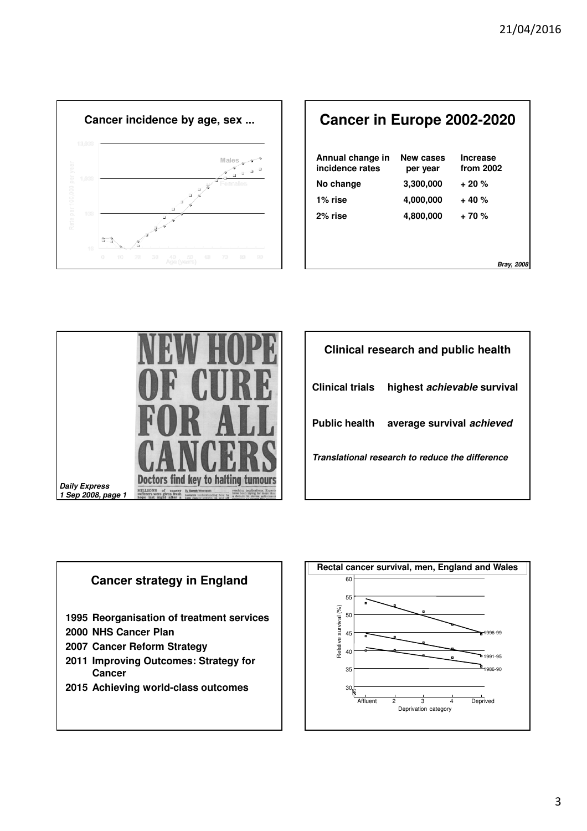

| <b>Cancer in Europe 2002-2020</b>   |                       |                              |
|-------------------------------------|-----------------------|------------------------------|
| Annual change in<br>incidence rates | New cases<br>per year | <b>Increase</b><br>from 2002 |
| No change                           | 3,300,000             | $+20%$                       |
| 1% rise                             | 4,000,000             | $+40%$                       |
| 2% rise                             | 4,800,000             | $+70%$                       |
|                                     |                       |                              |
|                                     |                       |                              |
|                                     |                       | Bray, 2008                   |



| Clinical research and public health             |                                         |  |
|-------------------------------------------------|-----------------------------------------|--|
| <b>Clinical trials</b>                          | highest <i>achievable</i> survival      |  |
|                                                 | Public health average survival achieved |  |
| Translational research to reduce the difference |                                         |  |
|                                                 |                                         |  |



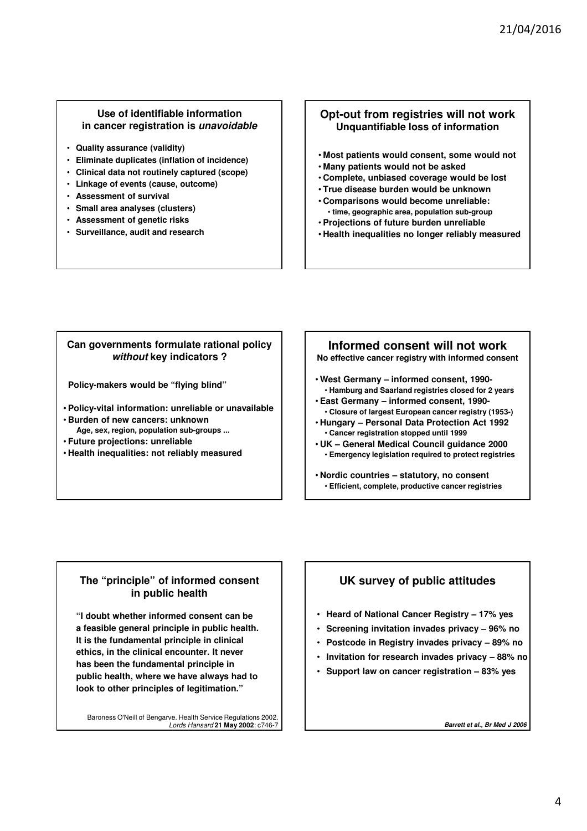#### **Use of identifiable information in cancer registration is** *unavoidable*

- **Quality assurance (validity)**
- **Eliminate duplicates (inflation of incidence)**
- **Clinical data not routinely captured (scope)**
- **Linkage of events (cause, outcome)**
- **Assessment of survival**
- **Small area analyses (clusters)**
- **Assessment of genetic risks**
- **Surveillance, audit and research**

### **Opt-out from registries will not work Unquantifiable loss of information**

- **Most patients would consent, some would not**
- **Many patients would not be asked**
- **Complete, unbiased coverage would be lost**
- **True disease burden would be unknown**
- **Comparisons would become unreliable:**
- **time, geographic area, population sub-group**
- **Projections of future burden unreliable**
- **Health inequalities no longer reliably measured**

### **Can governments formulate rational policy**  *without* **key indicators ?**

**Policy-makers would be "flying blind"**

• **Policy-vital information: unreliable or unavailable**

- **Burden of new cancers: unknown Age, sex, region, population sub-groups ...**
- **Future projections: unreliable**
- **Health inequalities: not reliably measured**

# **Informed consent will not work**

**No effective cancer registry with informed consent**

- **West Germany informed consent, 1990-** • **Hamburg and Saarland registries closed for 2 years** • **East Germany – informed consent, 1990-**
- **Closure of largest European cancer registry (1953-)** • **Hungary – Personal Data Protection Act 1992**
- **Cancer registration stopped until 1999** • **UK – General Medical Council guidance 2000**
	- **Emergency legislation required to protect registries**
- **Nordic countries statutory, no consent** • **Efficient, complete, productive cancer registries**

## **The "principle" of informed consent in public health**

**"I doubt whether informed consent can be a feasible general principle in public health. It is the fundamental principle in clinical ethics, in the clinical encounter. It never has been the fundamental principle in public health, where we have always had to look to other principles of legitimation."**

Baroness O'Neill of Bengarve. Health Service Regulations 2002. Lords Hansard **21 May 2002**: c746-7

## **UK survey of public attitudes**

- **Heard of National Cancer Registry 17% yes**
- **Screening invitation invades privacy 96% no**
- **Postcode in Registry invades privacy 89% no**
- **Invitation for research invades privacy 88% no**
- **Support law on cancer registration 83% yes**

*Barrett et al., Br Med J 2006*